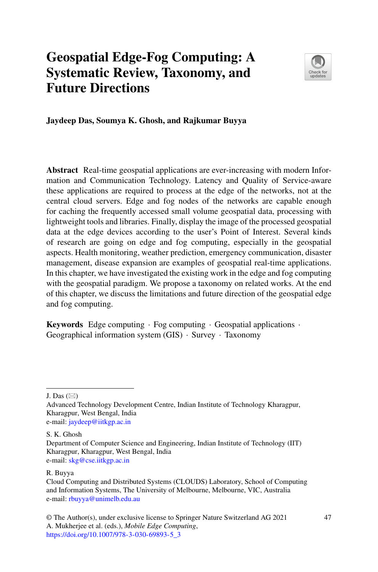# **Geospatial Edge-Fog Computing: A Systematic Review, Taxonomy, and Future Directions**



**Jaydeep Das, Soumya K. Ghosh, and Rajkumar Buyya**

**Abstract** Real-time geospatial applications are ever-increasing with modern Information and Communication Technology. Latency and Quality of Service-aware these applications are required to process at the edge of the networks, not at the central cloud servers. Edge and fog nodes of the networks are capable enough for caching the frequently accessed small volume geospatial data, processing with lightweight tools and libraries. Finally, display the image of the processed geospatial data at the edge devices according to the user's Point of Interest. Several kinds of research are going on edge and fog computing, especially in the geospatial aspects. Health monitoring, weather prediction, emergency communication, disaster management, disease expansion are examples of geospatial real-time applications. In this chapter, we have investigated the existing work in the edge and fog computing with the geospatial paradigm. We propose a taxonomy on related works. At the end of this chapter, we discuss the limitations and future direction of the geospatial edge and fog computing.

**Keywords** Edge computing · Fog computing · Geospatial applications · Geographical information system (GIS) · Survey · Taxonomy

J. Das  $(\boxtimes)$ 

S. K. Ghosh

#### R. Buyya

Advanced Technology Development Centre, Indian Institute of Technology Kharagpur, Kharagpur, West Bengal, India e-mail: [jaydeep@iitkgp.ac.in](mailto:jaydeep@iitkgp.ac.in)

Department of Computer Science and Engineering, Indian Institute of Technology (IIT) Kharagpur, Kharagpur, West Bengal, India e-mail: [skg@cse.iitkgp.ac.in](mailto:skg@cse.iitkgp.ac.in)

Cloud Computing and Distributed Systems (CLOUDS) Laboratory, School of Computing and Information Systems, The University of Melbourne, Melbourne, VIC, Australia e-mail: [rbuyya@unimelb.edu.au](mailto:rbuyya@unimelb.edu.au)

<sup>©</sup> The Author(s), under exclusive license to Springer Nature Switzerland AG 2021 A. Mukherjee et al. (eds.), *Mobile Edge Computing*, [https://doi.org/10.1007/978-3-030-69893-5\\_3](https://doi.org/10.1007/978-3-030-69893-5_3)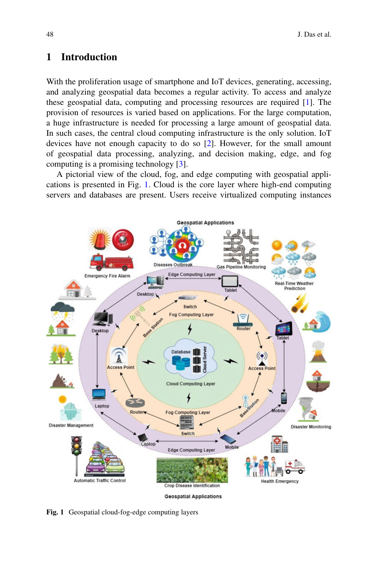## **1 Introduction**

With the proliferation usage of smartphone and IoT devices, generating, accessing, and analyzing geospatial data becomes a regular activity. To access and analyze these geospatial data, computing and processing resources are required [\[1\]](#page-15-0). The provision of resources is varied based on applications. For the large computation, a huge infrastructure is needed for processing a large amount of geospatial data. In such cases, the central cloud computing infrastructure is the only solution. IoT devices have not enough capacity to do so [\[2\]](#page-15-1). However, for the small amount of geospatial data processing, analyzing, and decision making, edge, and fog computing is a promising technology [\[3\]](#page-15-2).

A pictorial view of the cloud, fog, and edge computing with geospatial applications is presented in Fig. [1.](#page-1-0) Cloud is the core layer where high-end computing servers and databases are present. Users receive virtualized computing instances



**Geospatial Applications** 

<span id="page-1-0"></span>**Fig. 1** Geospatial cloud-fog-edge computing layers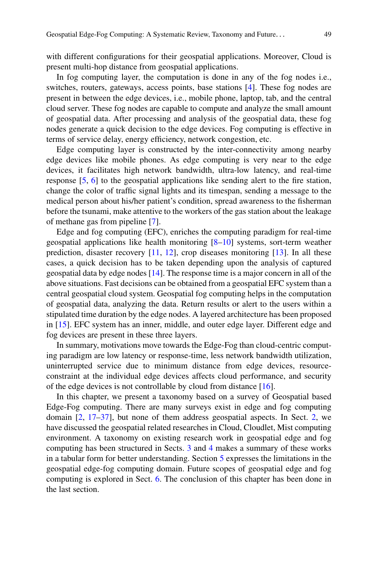with different configurations for their geospatial applications. Moreover, Cloud is present multi-hop distance from geospatial applications.

In fog computing layer, the computation is done in any of the fog nodes i.e., switches, routers, gateways, access points, base stations [\[4\]](#page-15-3). These fog nodes are present in between the edge devices, i.e., mobile phone, laptop, tab, and the central cloud server. These fog nodes are capable to compute and analyze the small amount of geospatial data. After processing and analysis of the geospatial data, these fog nodes generate a quick decision to the edge devices. Fog computing is effective in terms of service delay, energy efficiency, network congestion, etc.

Edge computing layer is constructed by the inter-connectivity among nearby edge devices like mobile phones. As edge computing is very near to the edge devices, it facilitates high network bandwidth, ultra-low latency, and real-time response [\[5,](#page-15-4) [6\]](#page-15-5) to the geospatial applications like sending alert to the fire station, change the color of traffic signal lights and its timespan, sending a message to the medical person about his/her patient's condition, spread awareness to the fisherman before the tsunami, make attentive to the workers of the gas station about the leakage of methane gas from pipeline [\[7\]](#page-15-6).

Edge and fog computing (EFC), enriches the computing paradigm for real-time geospatial applications like health monitoring [\[8–](#page-15-7)[10\]](#page-15-8) systems, sort-term weather prediction, disaster recovery [\[11,](#page-16-0) [12\]](#page-16-1), crop diseases monitoring [\[13\]](#page-16-2). In all these cases, a quick decision has to be taken depending upon the analysis of captured geospatial data by edge nodes [\[14\]](#page-16-3). The response time is a major concern in all of the above situations. Fast decisions can be obtained from a geospatial EFC system than a central geospatial cloud system. Geospatial fog computing helps in the computation of geospatial data, analyzing the data. Return results or alert to the users within a stipulated time duration by the edge nodes. A layered architecture has been proposed in [\[15\]](#page-16-4). EFC system has an inner, middle, and outer edge layer. Different edge and fog devices are present in these three layers.

In summary, motivations move towards the Edge-Fog than cloud-centric computing paradigm are low latency or response-time, less network bandwidth utilization, uninterrupted service due to minimum distance from edge devices, resourceconstraint at the individual edge devices affects cloud performance, and security of the edge devices is not controllable by cloud from distance [\[16\]](#page-16-5).

In this chapter, we present a taxonomy based on a survey of Geospatial based Edge-Fog computing. There are many surveys exist in edge and fog computing domain [\[2,](#page-15-1) [17](#page-16-6)[–37\]](#page-17-0), but none of them address geospatial aspects. In Sect. [2,](#page-3-0) we have discussed the geospatial related researches in Cloud, Cloudlet, Mist computing environment. A taxonomy on existing research work in geospatial edge and fog computing has been structured in Sects. [3](#page-5-0) and [4](#page-12-0) makes a summary of these works in a tabular form for better understanding. Section [5](#page-14-0) expresses the limitations in the geospatial edge-fog computing domain. Future scopes of geospatial edge and fog computing is explored in Sect. [6.](#page-14-1) The conclusion of this chapter has been done in the last section.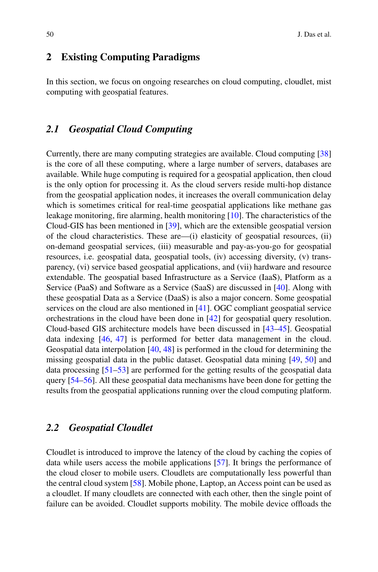#### <span id="page-3-0"></span>**2 Existing Computing Paradigms**

In this section, we focus on ongoing researches on cloud computing, cloudlet, mist computing with geospatial features.

#### *2.1 Geospatial Cloud Computing*

Currently, there are many computing strategies are available. Cloud computing [\[38\]](#page-17-1) is the core of all these computing, where a large number of servers, databases are available. While huge computing is required for a geospatial application, then cloud is the only option for processing it. As the cloud servers reside multi-hop distance from the geospatial application nodes, it increases the overall communication delay which is sometimes critical for real-time geospatial applications like methane gas leakage monitoring, fire alarming, health monitoring  $[10]$ . The characteristics of the Cloud-GIS has been mentioned in [\[39\]](#page-17-2), which are the extensible geospatial version of the cloud characteristics. These are—(i) elasticity of geospatial resources, (ii) on-demand geospatial services, (iii) measurable and pay-as-you-go for geospatial resources, i.e. geospatial data, geospatial tools, (iv) accessing diversity, (v) transparency, (vi) service based geospatial applications, and (vii) hardware and resource extendable. The geospatial based Infrastructure as a Service (IaaS), Platform as a Service (PaaS) and Software as a Service (SaaS) are discussed in [\[40\]](#page-17-3). Along with these geospatial Data as a Service (DaaS) is also a major concern. Some geospatial services on the cloud are also mentioned in [\[41\]](#page-17-4). OGC compliant geospatial service orchestrations in the cloud have been done in [\[42\]](#page-17-5) for geospatial query resolution. Cloud-based GIS architecture models have been discussed in [\[43–](#page-17-6)[45\]](#page-17-7). Geospatial data indexing [\[46,](#page-17-8) [47\]](#page-17-9) is performed for better data management in the cloud. Geospatial data interpolation [\[40,](#page-17-3) [48\]](#page-17-10) is performed in the cloud for determining the missing geospatial data in the public dataset. Geospatial data mining [\[49,](#page-17-11) [50\]](#page-17-12) and data processing [\[51–](#page-17-13)[53\]](#page-18-0) are performed for the getting results of the geospatial data query [\[54](#page-18-1)[–56\]](#page-18-2). All these geospatial data mechanisms have been done for getting the results from the geospatial applications running over the cloud computing platform.

#### *2.2 Geospatial Cloudlet*

Cloudlet is introduced to improve the latency of the cloud by caching the copies of data while users access the mobile applications [\[57\]](#page-18-3). It brings the performance of the cloud closer to mobile users. Cloudlets are computationally less powerful than the central cloud system [\[58\]](#page-18-4). Mobile phone, Laptop, an Access point can be used as a cloudlet. If many cloudlets are connected with each other, then the single point of failure can be avoided. Cloudlet supports mobility. The mobile device offloads the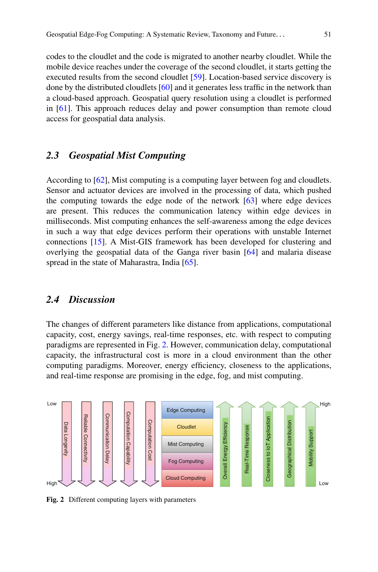codes to the cloudlet and the code is migrated to another nearby cloudlet. While the mobile device reaches under the coverage of the second cloudlet, it starts getting the executed results from the second cloudlet [\[59\]](#page-18-5). Location-based service discovery is done by the distributed cloudlets [\[60\]](#page-18-6) and it generates less traffic in the network than a cloud-based approach. Geospatial query resolution using a cloudlet is performed in [\[61\]](#page-18-7). This approach reduces delay and power consumption than remote cloud access for geospatial data analysis.

#### *2.3 Geospatial Mist Computing*

According to [\[62\]](#page-18-8), Mist computing is a computing layer between fog and cloudlets. Sensor and actuator devices are involved in the processing of data, which pushed the computing towards the edge node of the network [\[63\]](#page-18-9) where edge devices are present. This reduces the communication latency within edge devices in milliseconds. Mist computing enhances the self-awareness among the edge devices in such a way that edge devices perform their operations with unstable Internet connections [\[15\]](#page-16-4). A Mist-GIS framework has been developed for clustering and overlying the geospatial data of the Ganga river basin [\[64\]](#page-18-10) and malaria disease spread in the state of Maharastra, India [\[65\]](#page-18-11).

#### *2.4 Discussion*

The changes of different parameters like distance from applications, computational capacity, cost, energy savings, real-time responses, etc. with respect to computing paradigms are represented in Fig. [2.](#page-4-0) However, communication delay, computational capacity, the infrastructural cost is more in a cloud environment than the other computing paradigms. Moreover, energy efficiency, closeness to the applications, and real-time response are promising in the edge, fog, and mist computing.



<span id="page-4-0"></span>**Fig. 2** Different computing layers with parameters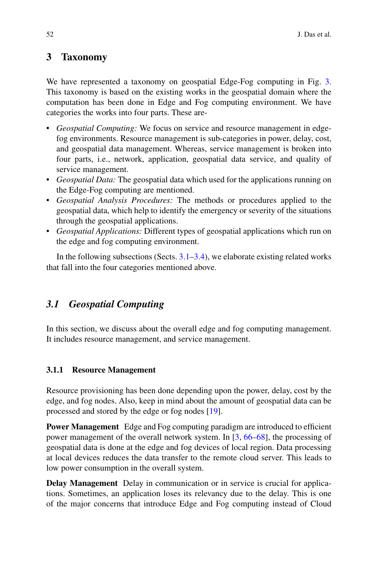## <span id="page-5-0"></span>**3 Taxonomy**

We have represented a taxonomy on geospatial Edge-Fog computing in Fig. [3.](#page-6-0) This taxonomy is based on the existing works in the geospatial domain where the computation has been done in Edge and Fog computing environment. We have categories the works into four parts. These are-

- *Geospatial Computing:* We focus on service and resource management in edgefog environments. Resource management is sub-categories in power, delay, cost, and geospatial data management. Whereas, service management is broken into four parts, i.e., network, application, geospatial data service, and quality of service management.
- *Geospatial Data:* The geospatial data which used for the applications running on the Edge-Fog computing are mentioned.
- *Geospatial Analysis Procedures:* The methods or procedures applied to the geospatial data, which help to identify the emergency or severity of the situations through the geospatial applications.
- *Geospatial Applications:* Different types of geospatial applications which run on the edge and fog computing environment.

In the following subsections (Sects.  $3.1-3.4$ ), we elaborate existing related works that fall into the four categories mentioned above.

# <span id="page-5-1"></span>*3.1 Geospatial Computing*

In this section, we discuss about the overall edge and fog computing management. It includes resource management, and service management.

#### **3.1.1 Resource Management**

Resource provisioning has been done depending upon the power, delay, cost by the edge, and fog nodes. Also, keep in mind about the amount of geospatial data can be processed and stored by the edge or fog nodes [\[19\]](#page-16-7).

**Power Management** Edge and Fog computing paradigm are introduced to efficient power management of the overall network system. In [\[3,](#page-15-2) [66](#page-18-12)[–68\]](#page-18-13), the processing of geospatial data is done at the edge and fog devices of local region. Data processing at local devices reduces the data transfer to the remote cloud server. This leads to low power consumption in the overall system.

**Delay Management** Delay in communication or in service is crucial for applications. Sometimes, an application loses its relevancy due to the delay. This is one of the major concerns that introduce Edge and Fog computing instead of Cloud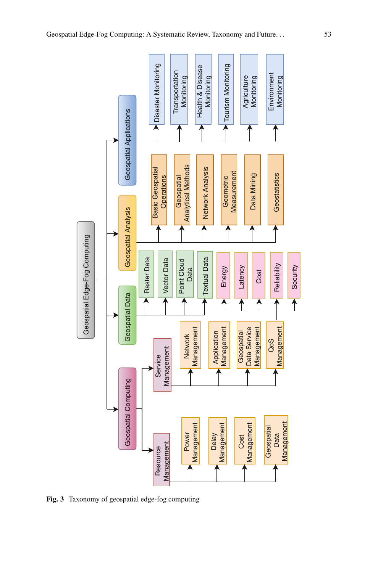

<span id="page-6-0"></span>**Fig. 3** Taxonomy of geospatial edge-fog computing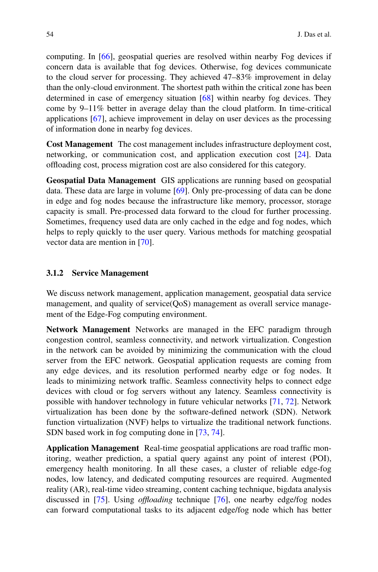computing. In [\[66\]](#page-18-12), geospatial queries are resolved within nearby Fog devices if concern data is available that fog devices. Otherwise, fog devices communicate to the cloud server for processing. They achieved 47–83% improvement in delay than the only-cloud environment. The shortest path within the critical zone has been determined in case of emergency situation [\[68\]](#page-18-13) within nearby fog devices. They come by 9–11% better in average delay than the cloud platform. In time-critical applications [\[67\]](#page-18-14), achieve improvement in delay on user devices as the processing of information done in nearby fog devices.

**Cost Management** The cost management includes infrastructure deployment cost, networking, or communication cost, and application execution cost [\[24\]](#page-16-8). Data offloading cost, process migration cost are also considered for this category.

**Geospatial Data Management** GIS applications are running based on geospatial data. These data are large in volume [\[69\]](#page-18-15). Only pre-processing of data can be done in edge and fog nodes because the infrastructure like memory, processor, storage capacity is small. Pre-processed data forward to the cloud for further processing. Sometimes, frequency used data are only cached in the edge and fog nodes, which helps to reply quickly to the user query. Various methods for matching geospatial vector data are mention in [\[70\]](#page-18-16).

#### **3.1.2 Service Management**

We discuss network management, application management, geospatial data service management, and quality of service(QoS) management as overall service management of the Edge-Fog computing environment.

**Network Management** Networks are managed in the EFC paradigm through congestion control, seamless connectivity, and network virtualization. Congestion in the network can be avoided by minimizing the communication with the cloud server from the EFC network. Geospatial application requests are coming from any edge devices, and its resolution performed nearby edge or fog nodes. It leads to minimizing network traffic. Seamless connectivity helps to connect edge devices with cloud or fog servers without any latency. Seamless connectivity is possible with handover technology in future vehicular networks [\[71,](#page-19-0) [72\]](#page-19-1). Network virtualization has been done by the software-defined network (SDN). Network function virtualization (NVF) helps to virtualize the traditional network functions. SDN based work in fog computing done in [\[73,](#page-19-2) [74\]](#page-19-3).

**Application Management** Real-time geospatial applications are road traffic monitoring, weather prediction, a spatial query against any point of interest (POI), emergency health monitoring. In all these cases, a cluster of reliable edge-fog nodes, low latency, and dedicated computing resources are required. Augmented reality (AR), real-time video streaming, content caching technique, bigdata analysis discussed in [\[75\]](#page-19-4). Using *offloading* technique [\[76\]](#page-19-5), one nearby edge/fog nodes can forward computational tasks to its adjacent edge/fog node which has better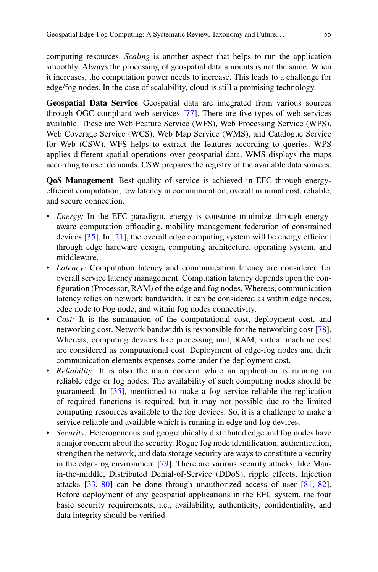computing resources. *Scaling* is another aspect that helps to run the application smoothly. Always the processing of geospatial data amounts is not the same. When it increases, the computation power needs to increase. This leads to a challenge for edge/fog nodes. In the case of scalability, cloud is still a promising technology.

**Geospatial Data Service** Geospatial data are integrated from various sources through OGC compliant web services [\[77\]](#page-19-6). There are five types of web services available. These are Web Feature Service (WFS), Web Processing Service (WPS), Web Coverage Service (WCS), Web Map Service (WMS), and Catalogue Service for Web (CSW). WFS helps to extract the features according to queries. WPS applies different spatial operations over geospatial data. WMS displays the maps according to user demands. CSW prepares the registry of the available data sources.

**QoS Management** Best quality of service is achieved in EFC through energyefficient computation, low latency in communication, overall minimal cost, reliable, and secure connection.

- *Energy:* In the EFC paradigm, energy is consume minimize through energyaware computation offloading, mobility management federation of constrained devices [\[35\]](#page-17-14). In [\[21\]](#page-16-9), the overall edge computing system will be energy efficient through edge hardware design, computing architecture, operating system, and middleware.
- *Latency:* Computation latency and communication latency are considered for overall service latency management. Computation latency depends upon the configuration (Processor, RAM) of the edge and fog nodes. Whereas, communication latency relies on network bandwidth. It can be considered as within edge nodes, edge node to Fog node, and within fog nodes connectivity.
- *Cost:* It is the summation of the computational cost, deployment cost, and networking cost. Network bandwidth is responsible for the networking cost [\[78\]](#page-19-7). Whereas, computing devices like processing unit, RAM, virtual machine cost are considered as computational cost. Deployment of edge-fog nodes and their communication elements expenses come under the deployment cost.
- *Reliability:* It is also the main concern while an application is running on reliable edge or fog nodes. The availability of such computing nodes should be guaranteed. In [\[35\]](#page-17-14), mentioned to make a fog service reliable the replication of required functions is required, but it may not possible due to the limited computing resources available to the fog devices. So, it is a challenge to make a service reliable and available which is running in edge and fog devices.
- *Security:* Heterogeneous and geographically distributed edge and fog nodes have a major concern about the security. Rogue fog node identification, authentication, strengthen the network, and data storage security are ways to constitute a security in the edge-fog environment [\[79\]](#page-19-8). There are various security attacks, like Manin-the-middle, Distributed Denial-of-Service (DDoS), ripple effects, Injection attacks [\[33,](#page-17-15) [80\]](#page-19-9) can be done through unauthorized access of user [\[81,](#page-19-10) [82\]](#page-19-11). Before deployment of any geospatial applications in the EFC system, the four basic security requirements, i.e., availability, authenticity, confidentiality, and data integrity should be verified.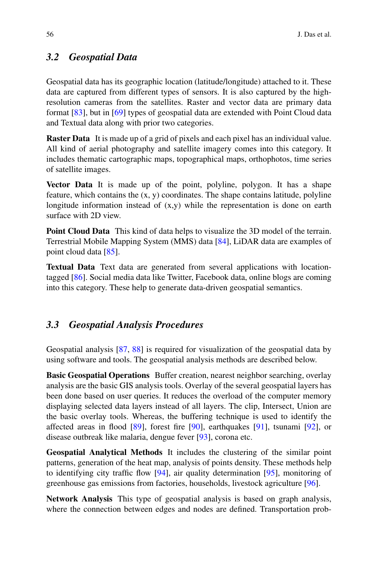#### *3.2 Geospatial Data*

Geospatial data has its geographic location (latitude/longitude) attached to it. These data are captured from different types of sensors. It is also captured by the highresolution cameras from the satellites. Raster and vector data are primary data format [\[83\]](#page-19-12), but in [\[69\]](#page-18-15) types of geospatial data are extended with Point Cloud data and Textual data along with prior two categories.

**Raster Data** It is made up of a grid of pixels and each pixel has an individual value. All kind of aerial photography and satellite imagery comes into this category. It includes thematic cartographic maps, topographical maps, orthophotos, time series of satellite images.

**Vector Data** It is made up of the point, polyline, polygon. It has a shape feature, which contains the (x, y) coordinates. The shape contains latitude, polyline longitude information instead of (x,y) while the representation is done on earth surface with 2D view.

**Point Cloud Data** This kind of data helps to visualize the 3D model of the terrain. Terrestrial Mobile Mapping System (MMS) data [\[84\]](#page-19-13), LiDAR data are examples of point cloud data [\[85\]](#page-19-14).

**Textual Data** Text data are generated from several applications with locationtagged [\[86\]](#page-19-15). Social media data like Twitter, Facebook data, online blogs are coming into this category. These help to generate data-driven geospatial semantics.

#### *3.3 Geospatial Analysis Procedures*

Geospatial analysis [\[87,](#page-19-16) [88\]](#page-19-17) is required for visualization of the geospatial data by using software and tools. The geospatial analysis methods are described below.

**Basic Geospatial Operations** Buffer creation, nearest neighbor searching, overlay analysis are the basic GIS analysis tools. Overlay of the several geospatial layers has been done based on user queries. It reduces the overload of the computer memory displaying selected data layers instead of all layers. The clip, Intersect, Union are the basic overlay tools. Whereas, the buffering technique is used to identify the affected areas in flood [\[89\]](#page-19-18), forest fire [\[90\]](#page-19-19), earthquakes [\[91\]](#page-19-20), tsunami [\[92\]](#page-20-0), or disease outbreak like malaria, dengue fever [\[93\]](#page-20-1), corona etc.

**Geospatial Analytical Methods** It includes the clustering of the similar point patterns, generation of the heat map, analysis of points density. These methods help to identifying city traffic flow [\[94\]](#page-20-2), air quality determination [\[95\]](#page-20-3), monitoring of greenhouse gas emissions from factories, households, livestock agriculture [\[96\]](#page-20-4).

**Network Analysis** This type of geospatial analysis is based on graph analysis, where the connection between edges and nodes are defined. Transportation prob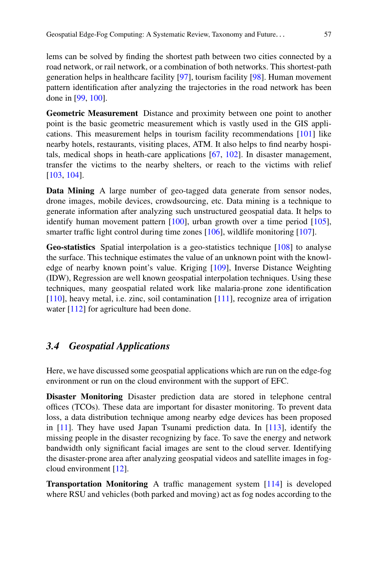lems can be solved by finding the shortest path between two cities connected by a road network, or rail network, or a combination of both networks. This shortest-path generation helps in healthcare facility [\[97\]](#page-20-5), tourism facility [\[98\]](#page-20-6). Human movement pattern identification after analyzing the trajectories in the road network has been done in [\[99,](#page-20-7) [100\]](#page-20-8).

**Geometric Measurement** Distance and proximity between one point to another point is the basic geometric measurement which is vastly used in the GIS applications. This measurement helps in tourism facility recommendations [\[101\]](#page-20-9) like nearby hotels, restaurants, visiting places, ATM. It also helps to find nearby hospitals, medical shops in heath-care applications [\[67,](#page-18-14) [102\]](#page-20-10). In disaster management, transfer the victims to the nearby shelters, or reach to the victims with relief [\[103,](#page-20-11) [104\]](#page-20-12).

**Data Mining** A large number of geo-tagged data generate from sensor nodes, drone images, mobile devices, crowdsourcing, etc. Data mining is a technique to generate information after analyzing such unstructured geospatial data. It helps to identify human movement pattern [\[100\]](#page-20-8), urban growth over a time period [\[105\]](#page-20-13), smarter traffic light control during time zones [\[106\]](#page-20-14), wildlife monitoring [\[107\]](#page-20-15).

**Geo-statistics** Spatial interpolation is a geo-statistics technique [\[108\]](#page-20-16) to analyse the surface. This technique estimates the value of an unknown point with the knowledge of nearby known point's value. Kriging [\[109\]](#page-20-17), Inverse Distance Weighting (IDW), Regression are well known geospatial interpolation techniques. Using these techniques, many geospatial related work like malaria-prone zone identification [\[110\]](#page-21-0), heavy metal, i.e. zinc, soil contamination [\[111\]](#page-21-1), recognize area of irrigation water [\[112\]](#page-21-2) for agriculture had been done.

#### <span id="page-10-0"></span>*3.4 Geospatial Applications*

Here, we have discussed some geospatial applications which are run on the edge-fog environment or run on the cloud environment with the support of EFC.

**Disaster Monitoring** Disaster prediction data are stored in telephone central offices (TCOs). These data are important for disaster monitoring. To prevent data loss, a data distribution technique among nearby edge devices has been proposed in [\[11\]](#page-16-0). They have used Japan Tsunami prediction data. In [\[113\]](#page-21-3), identify the missing people in the disaster recognizing by face. To save the energy and network bandwidth only significant facial images are sent to the cloud server. Identifying the disaster-prone area after analyzing geospatial videos and satellite images in fogcloud environment [\[12\]](#page-16-1).

**Transportation Monitoring** A traffic management system [\[114\]](#page-21-4) is developed where RSU and vehicles (both parked and moving) act as fog nodes according to the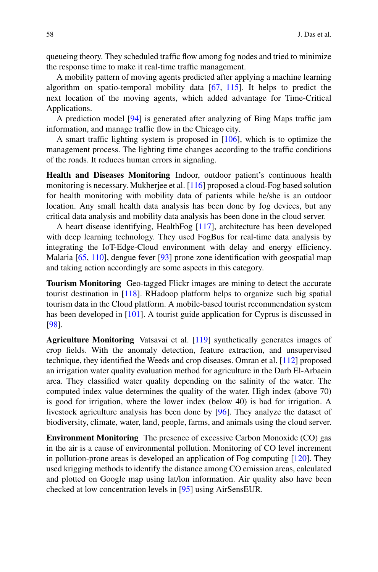queueing theory. They scheduled traffic flow among fog nodes and tried to minimize the response time to make it real-time traffic management.

A mobility pattern of moving agents predicted after applying a machine learning algorithm on spatio-temporal mobility data [\[67,](#page-18-14) [115\]](#page-21-5). It helps to predict the next location of the moving agents, which added advantage for Time-Critical Applications.

A prediction model [\[94\]](#page-20-2) is generated after analyzing of Bing Maps traffic jam information, and manage traffic flow in the Chicago city.

A smart traffic lighting system is proposed in [\[106\]](#page-20-14), which is to optimize the management process. The lighting time changes according to the traffic conditions of the roads. It reduces human errors in signaling.

**Health and Diseases Monitoring** Indoor, outdoor patient's continuous health monitoring is necessary. Mukherjee et al. [\[116\]](#page-21-6) proposed a cloud-Fog based solution for health monitoring with mobility data of patients while he/she is an outdoor location. Any small health data analysis has been done by fog devices, but any critical data analysis and mobility data analysis has been done in the cloud server.

A heart disease identifying, HealthFog [\[117\]](#page-21-7), architecture has been developed with deep learning technology. They used FogBus for real-time data analysis by integrating the IoT-Edge-Cloud environment with delay and energy efficiency. Malaria [\[65,](#page-18-11) [110\]](#page-21-0), dengue fever [\[93\]](#page-20-1) prone zone identification with geospatial map and taking action accordingly are some aspects in this category.

**Tourism Monitoring** Geo-tagged Flickr images are mining to detect the accurate tourist destination in [\[118\]](#page-21-8). RHadoop platform helps to organize such big spatial tourism data in the Cloud platform. A mobile-based tourist recommendation system has been developed in [\[101\]](#page-20-9). A tourist guide application for Cyprus is discussed in [\[98\]](#page-20-6).

**Agriculture Monitoring** Vatsavai et al. [\[119\]](#page-21-9) synthetically generates images of crop fields. With the anomaly detection, feature extraction, and unsupervised technique, they identified the Weeds and crop diseases. Omran et al. [\[112\]](#page-21-2) proposed an irrigation water quality evaluation method for agriculture in the Darb El-Arbaein area. They classified water quality depending on the salinity of the water. The computed index value determines the quality of the water. High index (above 70) is good for irrigation, where the lower index (below 40) is bad for irrigation. A livestock agriculture analysis has been done by [\[96\]](#page-20-4). They analyze the dataset of biodiversity, climate, water, land, people, farms, and animals using the cloud server.

**Environment Monitoring** The presence of excessive Carbon Monoxide (CO) gas in the air is a cause of environmental pollution. Monitoring of CO level increment in pollution-prone areas is developed an application of Fog computing [\[120\]](#page-21-10). They used krigging methods to identify the distance among CO emission areas, calculated and plotted on Google map using lat/lon information. Air quality also have been checked at low concentration levels in [\[95\]](#page-20-3) using AirSensEUR.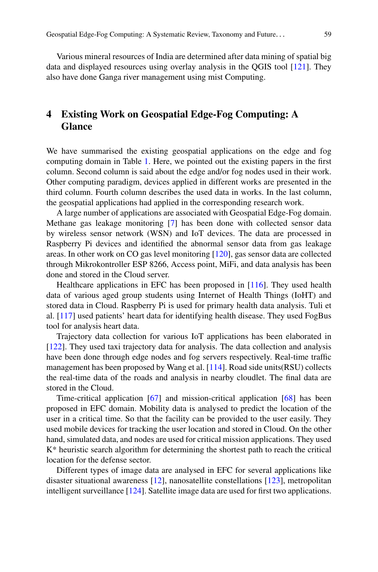Various mineral resources of India are determined after data mining of spatial big data and displayed resources using overlay analysis in the QGIS tool [\[121\]](#page-21-11). They also have done Ganga river management using mist Computing.

## <span id="page-12-0"></span>**4 Existing Work on Geospatial Edge-Fog Computing: A Glance**

We have summarised the existing geospatial applications on the edge and fog computing domain in Table [1.](#page-13-0) Here, we pointed out the existing papers in the first column. Second column is said about the edge and/or fog nodes used in their work. Other computing paradigm, devices applied in different works are presented in the third column. Fourth column describes the used data in works. In the last column, the geospatial applications had applied in the corresponding research work.

A large number of applications are associated with Geospatial Edge-Fog domain. Methane gas leakage monitoring [\[7\]](#page-15-6) has been done with collected sensor data by wireless sensor network (WSN) and IoT devices. The data are processed in Raspberry Pi devices and identified the abnormal sensor data from gas leakage areas. In other work on CO gas level monitoring [\[120\]](#page-21-10), gas sensor data are collected through Mikrokontroller ESP 8266, Access point, MiFi, and data analysis has been done and stored in the Cloud server.

Healthcare applications in EFC has been proposed in [\[116\]](#page-21-6). They used health data of various aged group students using Internet of Health Things (IoHT) and stored data in Cloud. Raspberry Pi is used for primary health data analysis. Tuli et al. [\[117\]](#page-21-7) used patients' heart data for identifying health disease. They used FogBus tool for analysis heart data.

Trajectory data collection for various IoT applications has been elaborated in [\[122\]](#page-21-12). They used taxi trajectory data for analysis. The data collection and analysis have been done through edge nodes and fog servers respectively. Real-time traffic management has been proposed by Wang et al. [\[114\]](#page-21-4). Road side units(RSU) collects the real-time data of the roads and analysis in nearby cloudlet. The final data are stored in the Cloud.

Time-critical application [\[67\]](#page-18-14) and mission-critical application [\[68\]](#page-18-13) has been proposed in EFC domain. Mobility data is analysed to predict the location of the user in a critical time. So that the facility can be provided to the user easily. They used mobile devices for tracking the user location and stored in Cloud. On the other hand, simulated data, and nodes are used for critical mission applications. They used K\* heuristic search algorithm for determining the shortest path to reach the critical location for the defense sector.

Different types of image data are analysed in EFC for several applications like disaster situational awareness [\[12\]](#page-16-1), nanosatellite constellations [\[123\]](#page-21-13), metropolitan intelligent surveillance [\[124\]](#page-21-14). Satellite image data are used for first two applications.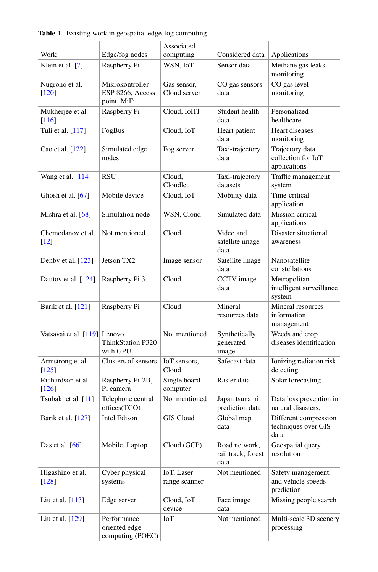<span id="page-13-0"></span>

| Work                                    | Edge/fog nodes                                     | Associated<br>computing     | Considered data                             | Applications                                           |
|-----------------------------------------|----------------------------------------------------|-----------------------------|---------------------------------------------|--------------------------------------------------------|
| Klein et al. [7]                        | Raspberry Pi                                       | WSN, IoT                    | Sensor data                                 | Methane gas leaks                                      |
|                                         |                                                    |                             |                                             | monitoring                                             |
| Nugroho et al.<br>$[120]$               | Mikrokontroller<br>ESP 8266, Access<br>point, MiFi | Gas sensor,<br>Cloud server | CO gas sensors<br>data                      | CO gas level<br>monitoring                             |
| Mukherjee et al.<br>$[116]$             | Raspberry Pi                                       | Cloud, IoHT                 | Student health<br>data                      | Personalized<br>healthcare                             |
| Tuli et al. [117]                       | FogBus                                             | Cloud, IoT                  | Heart patient<br>data                       | Heart diseases<br>monitoring                           |
| Cao et al. [122]                        | Simulated edge<br>nodes                            | Fog server                  | Taxi-trajectory<br>data                     | Trajectory data<br>collection for IoT<br>applications  |
| Wang et al. [114]                       | RSU                                                | Cloud,<br>Cloudlet          | Taxi-trajectory<br>datasets                 | Traffic management<br>system                           |
| Ghosh et al. $[67]$                     | Mobile device                                      | Cloud, IoT                  | Mobility data                               | Time-critical<br>application                           |
| Mishra et al. $[68]$                    | Simulation node                                    | WSN, Cloud                  | Simulated data                              | Mission critical<br>applications                       |
| Chemodanov et al.<br>$[12]$             | Not mentioned                                      | Cloud                       | Video and<br>satellite image<br>data        | Disaster situational<br>awareness                      |
| Denby et al. $[123]$                    | Jetson TX2                                         | Image sensor                | Satellite image<br>data                     | Nanosatellite<br>constellations                        |
| Dautov et al. [124]                     | Raspberry Pi 3                                     | Cloud                       | CCTV image<br>data                          | Metropolitan<br>intelligent surveillance<br>system     |
| Barik et al. [121]                      | Raspberry Pi                                       | Cloud                       | Mineral<br>resources data                   | Mineral resources<br>information<br>management         |
| Vatsavai et al. [119] Lenovo            | ThinkStation P320<br>with GPU                      | Not mentioned               | Synthetically<br>generated<br>image         | Weeds and crop<br>diseases identification              |
| Armstrong et al.<br>$\lceil 125 \rceil$ | Clusters of sensors                                | IoT sensors,<br>Cloud       | Safecast data                               | Ionizing radiation risk<br>detecting                   |
| Richardson et al.<br>[126]              | Raspberry Pi-2B,<br>Pi camera                      | Single board<br>computer    | Raster data                                 | Solar forecasting                                      |
| Tsubaki et al. [11]                     | Telephone central<br>offices(TCO)                  | Not mentioned               | Japan tsunami<br>prediction data            | Data loss prevention in<br>natural disasters.          |
| Barik et al. [127]                      | Intel Edison                                       | <b>GIS Cloud</b>            | Global map<br>data                          | Different compression<br>techniques over GIS<br>data   |
| Das et al. $[66]$                       | Mobile, Laptop                                     | Cloud (GCP)                 | Road network,<br>rail track, forest<br>data | Geospatial query<br>resolution                         |
| Higashino et al.<br>$[128]$             | Cyber physical<br>systems                          | IoT, Laser<br>range scanner | Not mentioned                               | Safety management,<br>and vehicle speeds<br>prediction |
| Liu et al. $[113]$                      | Edge server                                        | Cloud, IoT<br>device        | Face image<br>data                          | Missing people search                                  |
| Liu et al. [129]                        | Performance<br>oriented edge<br>computing (POEC)   | ЮT                          | Not mentioned                               | Multi-scale 3D scenery<br>processing                   |

**Table 1** Existing work in geospatial edge-fog computing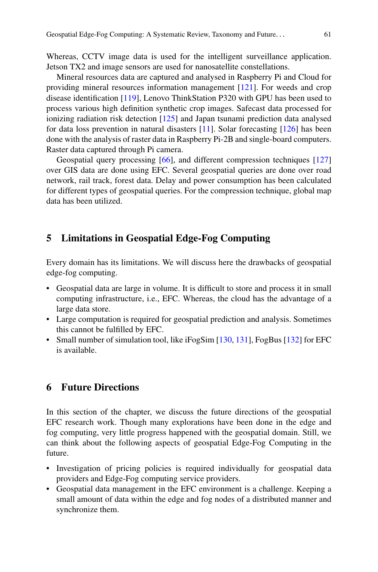Whereas, CCTV image data is used for the intelligent surveillance application. Jetson TX2 and image sensors are used for nanosatellite constellations.

Mineral resources data are captured and analysed in Raspberry Pi and Cloud for providing mineral resources information management [\[121\]](#page-21-11). For weeds and crop disease identification [\[119\]](#page-21-9), Lenovo ThinkStation P320 with GPU has been used to process various high definition synthetic crop images. Safecast data processed for ionizing radiation risk detection [\[125\]](#page-21-15) and Japan tsunami prediction data analysed for data loss prevention in natural disasters [\[11\]](#page-16-0). Solar forecasting [\[126\]](#page-21-16) has been done with the analysis of raster data in Raspberry Pi-2B and single-board computers. Raster data captured through Pi camera.

Geospatial query processing [\[66\]](#page-18-12), and different compression techniques [\[127\]](#page-21-17) over GIS data are done using EFC. Several geospatial queries are done over road network, rail track, forest data. Delay and power consumption has been calculated for different types of geospatial queries. For the compression technique, global map data has been utilized.

#### <span id="page-14-0"></span>**5 Limitations in Geospatial Edge-Fog Computing**

Every domain has its limitations. We will discuss here the drawbacks of geospatial edge-fog computing.

- Geospatial data are large in volume. It is difficult to store and process it in small computing infrastructure, i.e., EFC. Whereas, the cloud has the advantage of a large data store.
- Large computation is required for geospatial prediction and analysis. Sometimes this cannot be fulfilled by EFC.
- Small number of simulation tool, like iFogSim [\[130,](#page-22-2) [131\]](#page-22-3), FogBus [\[132\]](#page-22-4) for EFC is available.

## <span id="page-14-1"></span>**6 Future Directions**

In this section of the chapter, we discuss the future directions of the geospatial EFC research work. Though many explorations have been done in the edge and fog computing, very little progress happened with the geospatial domain. Still, we can think about the following aspects of geospatial Edge-Fog Computing in the future.

- Investigation of pricing policies is required individually for geospatial data providers and Edge-Fog computing service providers.
- Geospatial data management in the EFC environment is a challenge. Keeping a small amount of data within the edge and fog nodes of a distributed manner and synchronize them.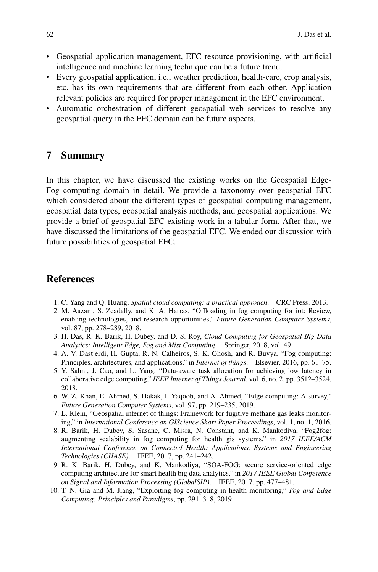- Geospatial application management, EFC resource provisioning, with artificial intelligence and machine learning technique can be a future trend.
- Every geospatial application, i.e., weather prediction, health-care, crop analysis, etc. has its own requirements that are different from each other. Application relevant policies are required for proper management in the EFC environment.
- Automatic orchestration of different geospatial web services to resolve any geospatial query in the EFC domain can be future aspects.

#### **7 Summary**

In this chapter, we have discussed the existing works on the Geospatial Edge-Fog computing domain in detail. We provide a taxonomy over geospatial EFC which considered about the different types of geospatial computing management, geospatial data types, geospatial analysis methods, and geospatial applications. We provide a brief of geospatial EFC existing work in a tabular form. After that, we have discussed the limitations of the geospatial EFC. We ended our discussion with future possibilities of geospatial EFC.

#### **References**

- <span id="page-15-0"></span>1. C. Yang and Q. Huang, *Spatial cloud computing: a practical approach*. CRC Press, 2013.
- <span id="page-15-1"></span>2. M. Aazam, S. Zeadally, and K. A. Harras, "Offloading in fog computing for iot: Review, enabling technologies, and research opportunities," *Future Generation Computer Systems*, vol. 87, pp. 278–289, 2018.
- <span id="page-15-2"></span>3. H. Das, R. K. Barik, H. Dubey, and D. S. Roy, *Cloud Computing for Geospatial Big Data Analytics: Intelligent Edge, Fog and Mist Computing*. Springer, 2018, vol. 49.
- <span id="page-15-3"></span>4. A. V. Dastjerdi, H. Gupta, R. N. Calheiros, S. K. Ghosh, and R. Buyya, "Fog computing: Principles, architectures, and applications," in *Internet of things*. Elsevier, 2016, pp. 61–75.
- <span id="page-15-4"></span>5. Y. Sahni, J. Cao, and L. Yang, "Data-aware task allocation for achieving low latency in collaborative edge computing," *IEEE Internet of Things Journal*, vol. 6, no. 2, pp. 3512–3524, 2018.
- <span id="page-15-5"></span>6. W. Z. Khan, E. Ahmed, S. Hakak, I. Yaqoob, and A. Ahmed, "Edge computing: A survey," *Future Generation Computer Systems*, vol. 97, pp. 219–235, 2019.
- <span id="page-15-6"></span>7. L. Klein, "Geospatial internet of things: Framework for fugitive methane gas leaks monitoring," in *International Conference on GIScience Short Paper Proceedings*, vol. 1, no. 1, 2016.
- <span id="page-15-7"></span>8. R. Barik, H. Dubey, S. Sasane, C. Misra, N. Constant, and K. Mankodiya, "Fog2fog: augmenting scalability in fog computing for health gis systems," in *2017 IEEE/ACM International Conference on Connected Health: Applications, Systems and Engineering Technologies (CHASE)*. IEEE, 2017, pp. 241–242.
- 9. R. K. Barik, H. Dubey, and K. Mankodiya, "SOA-FOG: secure service-oriented edge computing architecture for smart health big data analytics," in *2017 IEEE Global Conference on Signal and Information Processing (GlobalSIP)*. IEEE, 2017, pp. 477–481.
- <span id="page-15-8"></span>10. T. N. Gia and M. Jiang, "Exploiting fog computing in health monitoring," *Fog and Edge Computing: Principles and Paradigms*, pp. 291–318, 2019.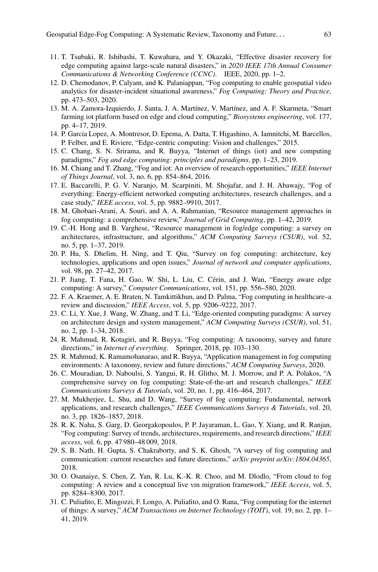- <span id="page-16-0"></span>11. T. Tsubaki, R. Ishibashi, T. Kuwahara, and Y. Okazaki, "Effective disaster recovery for edge computing against large-scale natural disasters," in *2020 IEEE 17th Annual Consumer Communications & Networking Conference (CCNC)*. IEEE, 2020, pp. 1–2.
- <span id="page-16-1"></span>12. D. Chemodanov, P. Calyam, and K. Palaniappan, "Fog computing to enable geospatial video analytics for disaster-incident situational awareness," *Fog Computing: Theory and Practice*, pp. 473–503, 2020.
- <span id="page-16-2"></span>13. M. A. Zamora-Izquierdo, J. Santa, J. A. Martínez, V. Martínez, and A. F. Skarmeta, "Smart farming iot platform based on edge and cloud computing," *Biosystems engineering*, vol. 177, pp. 4–17, 2019.
- <span id="page-16-3"></span>14. P. Garcia Lopez, A. Montresor, D. Epema, A. Datta, T. Higashino, A. Iamnitchi, M. Barcellos, P. Felber, and E. Riviere, "Edge-centric computing: Vision and challenges," 2015.
- <span id="page-16-4"></span>15. C. Chang, S. N. Srirama, and R. Buyya, "Internet of things (iot) and new computing paradigms," *Fog and edge computing: principles and paradigms*, pp. 1–23, 2019.
- <span id="page-16-5"></span>16. M. Chiang and T. Zhang, "Fog and iot: An overview of research opportunities," *IEEE Internet of Things Journal*, vol. 3, no. 6, pp. 854–864, 2016.
- <span id="page-16-6"></span>17. E. Baccarelli, P. G. V. Naranjo, M. Scarpiniti, M. Shojafar, and J. H. Abawajy, "Fog of everything: Energy-efficient networked computing architectures, research challenges, and a case study," *IEEE access*, vol. 5, pp. 9882–9910, 2017.
- 18. M. Ghobaei-Arani, A. Souri, and A. A. Rahmanian, "Resource management approaches in fog computing: a comprehensive review," *Journal of Grid Computing*, pp. 1–42, 2019.
- <span id="page-16-7"></span>19. C.-H. Hong and B. Varghese, "Resource management in fog/edge computing: a survey on architectures, infrastructure, and algorithms," *ACM Computing Surveys (CSUR)*, vol. 52, no. 5, pp. 1–37, 2019.
- 20. P. Hu, S. Dhelim, H. Ning, and T. Qiu, "Survey on fog computing: architecture, key technologies, applications and open issues," *Journal of network and computer applications*, vol. 98, pp. 27–42, 2017.
- <span id="page-16-9"></span>21. P. Jiang, T. Fana, H. Gao, W. Shi, L. Liu, C. Cérin, and J. Wan, "Energy aware edge computing: A survey," *Computer Communications*, vol. 151, pp. 556–580, 2020.
- 22. F. A. Kraemer, A. E. Braten, N. Tamkittikhun, and D. Palma, "Fog computing in healthcare–a review and discussion," *IEEE Access*, vol. 5, pp. 9206–9222, 2017.
- 23. C. Li, Y. Xue, J. Wang, W. Zhang, and T. Li, "Edge-oriented computing paradigms: A survey on architecture design and system management," *ACM Computing Surveys (CSUR)*, vol. 51, no. 2, pp. 1–34, 2018.
- <span id="page-16-8"></span>24. R. Mahmud, R. Kotagiri, and R. Buyya, "Fog computing: A taxonomy, survey and future directions," in *Internet of everything*. Springer, 2018, pp. 103–130.
- 25. R. Mahmud, K. Ramamohanarao, and R. Buyya, "Application management in fog computing environments: A taxonomy, review and future directions," *ACM Computing Surveys*, 2020.
- 26. C. Mouradian, D. Naboulsi, S. Yangui, R. H. Glitho, M. J. Morrow, and P. A. Polakos, "A comprehensive survey on fog computing: State-of-the-art and research challenges," *IEEE Communications Surveys & Tutorials*, vol. 20, no. 1, pp. 416–464, 2017.
- 27. M. Mukherjee, L. Shu, and D. Wang, "Survey of fog computing: Fundamental, network applications, and research challenges," *IEEE Communications Surveys & Tutorials*, vol. 20, no. 3, pp. 1826–1857, 2018.
- 28. R. K. Naha, S. Garg, D. Georgakopoulos, P. P. Jayaraman, L. Gao, Y. Xiang, and R. Ranjan, "Fog computing: Survey of trends, architectures, requirements, and research directions," *IEEE access*, vol. 6, pp. 47 980–48 009, 2018.
- 29. S. B. Nath, H. Gupta, S. Chakraborty, and S. K. Ghosh, "A survey of fog computing and communication: current researches and future directions," *arXiv preprint arXiv:1804.04365*, 2018.
- 30. O. Osanaiye, S. Chen, Z. Yan, R. Lu, K.-K. R. Choo, and M. Dlodlo, "From cloud to fog computing: A review and a conceptual live vm migration framework," *IEEE Access*, vol. 5, pp. 8284–8300, 2017.
- 31. C. Puliafito, E. Mingozzi, F. Longo, A. Puliafito, and O. Rana, "Fog computing for the internet of things: A survey," *ACM Transactions on Internet Technology (TOIT)*, vol. 19, no. 2, pp. 1– 41, 2019.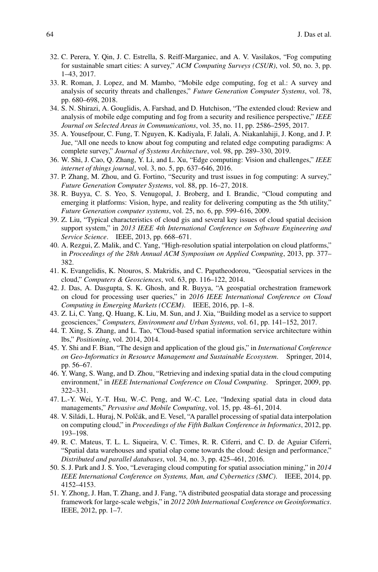- 32. C. Perera, Y. Qin, J. C. Estrella, S. Reiff-Marganiec, and A. V. Vasilakos, "Fog computing for sustainable smart cities: A survey," *ACM Computing Surveys (CSUR)*, vol. 50, no. 3, pp. 1–43, 2017.
- <span id="page-17-15"></span>33. R. Roman, J. Lopez, and M. Mambo, "Mobile edge computing, fog et al.: A survey and analysis of security threats and challenges," *Future Generation Computer Systems*, vol. 78, pp. 680–698, 2018.
- 34. S. N. Shirazi, A. Gouglidis, A. Farshad, and D. Hutchison, "The extended cloud: Review and analysis of mobile edge computing and fog from a security and resilience perspective," *IEEE Journal on Selected Areas in Communications*, vol. 35, no. 11, pp. 2586–2595, 2017.
- <span id="page-17-14"></span>35. A. Yousefpour, C. Fung, T. Nguyen, K. Kadiyala, F. Jalali, A. Niakanlahiji, J. Kong, and J. P. Jue, "All one needs to know about fog computing and related edge computing paradigms: A complete survey," *Journal of Systems Architecture*, vol. 98, pp. 289–330, 2019.
- 36. W. Shi, J. Cao, Q. Zhang, Y. Li, and L. Xu, "Edge computing: Vision and challenges," *IEEE internet of things journal*, vol. 3, no. 5, pp. 637–646, 2016.
- <span id="page-17-0"></span>37. P. Zhang, M. Zhou, and G. Fortino, "Security and trust issues in fog computing: A survey," *Future Generation Computer Systems*, vol. 88, pp. 16–27, 2018.
- <span id="page-17-1"></span>38. R. Buyya, C. S. Yeo, S. Venugopal, J. Broberg, and I. Brandic, "Cloud computing and emerging it platforms: Vision, hype, and reality for delivering computing as the 5th utility," *Future Generation computer systems*, vol. 25, no. 6, pp. 599–616, 2009.
- <span id="page-17-2"></span>39. Z. Liu, "Typical characteristics of cloud gis and several key issues of cloud spatial decision support system," in *2013 IEEE 4th International Conference on Software Engineering and Service Science*. IEEE, 2013, pp. 668–671.
- <span id="page-17-3"></span>40. A. Rezgui, Z. Malik, and C. Yang, "High-resolution spatial interpolation on cloud platforms," in *Proceedings of the 28th Annual ACM Symposium on Applied Computing*, 2013, pp. 377– 382.
- <span id="page-17-4"></span>41. K. Evangelidis, K. Ntouros, S. Makridis, and C. Papatheodorou, "Geospatial services in the cloud," *Computers & Geosciences*, vol. 63, pp. 116–122, 2014.
- <span id="page-17-5"></span>42. J. Das, A. Dasgupta, S. K. Ghosh, and R. Buyya, "A geospatial orchestration framework on cloud for processing user queries," in *2016 IEEE International Conference on Cloud Computing in Emerging Markets (CCEM)*. IEEE, 2016, pp. 1–8.
- <span id="page-17-6"></span>43. Z. Li, C. Yang, Q. Huang, K. Liu, M. Sun, and J. Xia, "Building model as a service to support geosciences," *Computers, Environment and Urban Systems*, vol. 61, pp. 141–152, 2017.
- 44. T. Xing, S. Zhang, and L. Tao, "Cloud-based spatial information service architecture within lbs," *Positioning*, vol. 2014, 2014.
- <span id="page-17-7"></span>45. Y. Shi and F. Bian, "The design and application of the gloud gis," in *International Conference on Geo-Informatics in Resource Management and Sustainable Ecosystem*. Springer, 2014, pp. 56–67.
- <span id="page-17-8"></span>46. Y. Wang, S. Wang, and D. Zhou, "Retrieving and indexing spatial data in the cloud computing environment," in *IEEE International Conference on Cloud Computing*. Springer, 2009, pp. 322–331.
- <span id="page-17-9"></span>47. L.-Y. Wei, Y.-T. Hsu, W.-C. Peng, and W.-C. Lee, "Indexing spatial data in cloud data managements," *Pervasive and Mobile Computing*, vol. 15, pp. 48–61, 2014.
- <span id="page-17-10"></span>48. V. Siládi, L. Huraj, N. Polčák, and E. Vesel, "A parallel processing of spatial data interpolation on computing cloud," in *Proceedings of the Fifth Balkan Conference in Informatics*, 2012, pp. 193–198.
- <span id="page-17-11"></span>49. R. C. Mateus, T. L. L. Siqueira, V. C. Times, R. R. Ciferri, and C. D. de Aguiar Ciferri, "Spatial data warehouses and spatial olap come towards the cloud: design and performance," *Distributed and parallel databases*, vol. 34, no. 3, pp. 425–461, 2016.
- <span id="page-17-12"></span>50. S. J. Park and J. S. Yoo, "Leveraging cloud computing for spatial association mining," in *2014 IEEE International Conference on Systems, Man, and Cybernetics (SMC)*. IEEE, 2014, pp. 4152–4153.
- <span id="page-17-13"></span>51. Y. Zhong, J. Han, T. Zhang, and J. Fang, "A distributed geospatial data storage and processing framework for large-scale webgis," in *2012 20th International Conference on Geoinformatics*. IEEE, 2012, pp. 1–7.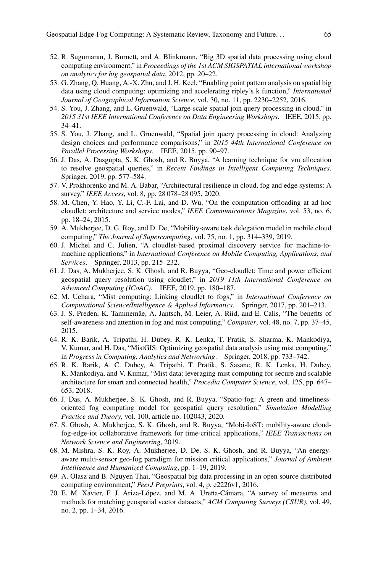- 52. R. Sugumaran, J. Burnett, and A. Blinkmann, "Big 3D spatial data processing using cloud computing environment," in *Proceedings of the 1st ACM SIGSPATIAL international workshop on analytics for big geospatial data*, 2012, pp. 20–22.
- <span id="page-18-0"></span>53. G. Zhang, Q. Huang, A.-X. Zhu, and J. H. Keel, "Enabling point pattern analysis on spatial big data using cloud computing: optimizing and accelerating ripley's k function," *International Journal of Geographical Information Science*, vol. 30, no. 11, pp. 2230–2252, 2016.
- <span id="page-18-1"></span>54. S. You, J. Zhang, and L. Gruenwald, "Large-scale spatial join query processing in cloud," in *2015 31st IEEE International Conference on Data Engineering Workshops*. IEEE, 2015, pp. 34–41.
- 55. S. You, J. Zhang, and L. Gruenwald, "Spatial join query processing in cloud: Analyzing design choices and performance comparisons," in *2015 44th International Conference on Parallel Processing Workshops*. IEEE, 2015, pp. 90–97.
- <span id="page-18-2"></span>56. J. Das, A. Dasgupta, S. K. Ghosh, and R. Buyya, "A learning technique for vm allocation to resolve geospatial queries," in *Recent Findings in Intelligent Computing Techniques*. Springer, 2019, pp. 577–584.
- <span id="page-18-3"></span>57. V. Prokhorenko and M. A. Babar, "Architectural resilience in cloud, fog and edge systems: A survey," *IEEE Access*, vol. 8, pp. 28 078–28 095, 2020.
- <span id="page-18-4"></span>58. M. Chen, Y. Hao, Y. Li, C.-F. Lai, and D. Wu, "On the computation offloading at ad hoc cloudlet: architecture and service modes," *IEEE Communications Magazine*, vol. 53, no. 6, pp. 18–24, 2015.
- <span id="page-18-5"></span>59. A. Mukherjee, D. G. Roy, and D. De, "Mobility-aware task delegation model in mobile cloud computing," *The Journal of Supercomputing*, vol. 75, no. 1, pp. 314–339, 2019.
- <span id="page-18-6"></span>60. J. Michel and C. Julien, "A cloudlet-based proximal discovery service for machine-tomachine applications," in *International Conference on Mobile Computing, Applications, and Services*. Springer, 2013, pp. 215–232.
- <span id="page-18-7"></span>61. J. Das, A. Mukherjee, S. K. Ghosh, and R. Buyya, "Geo-cloudlet: Time and power efficient geospatial query resolution using cloudlet," in *2019 11th International Conference on Advanced Computing (ICoAC)*. IEEE, 2019, pp. 180–187.
- <span id="page-18-8"></span>62. M. Uehara, "Mist computing: Linking cloudlet to fogs," in *International Conference on Computational Science/Intelligence & Applied Informatics*. Springer, 2017, pp. 201–213.
- <span id="page-18-9"></span>63. J. S. Preden, K. Tammemäe, A. Jantsch, M. Leier, A. Riid, and E. Calis, "The benefits of self-awareness and attention in fog and mist computing," *Computer*, vol. 48, no. 7, pp. 37–45, 2015.
- <span id="page-18-10"></span>64. R. K. Barik, A. Tripathi, H. Dubey, R. K. Lenka, T. Pratik, S. Sharma, K. Mankodiya, V. Kumar, and H. Das, "MistGIS: Optimizing geospatial data analysis using mist computing," in *Progress in Computing, Analytics and Networking*. Springer, 2018, pp. 733–742.
- <span id="page-18-11"></span>65. R. K. Barik, A. C. Dubey, A. Tripathi, T. Pratik, S. Sasane, R. K. Lenka, H. Dubey, K. Mankodiya, and V. Kumar, "Mist data: leveraging mist computing for secure and scalable architecture for smart and connected health," *Procedia Computer Science*, vol. 125, pp. 647– 653, 2018.
- <span id="page-18-12"></span>66. J. Das, A. Mukherjee, S. K. Ghosh, and R. Buyya, "Spatio-fog: A green and timelinessoriented fog computing model for geospatial query resolution," *Simulation Modelling Practice and Theory*, vol. 100, article no. 102043, 2020.
- <span id="page-18-14"></span>67. S. Ghosh, A. Mukherjee, S. K. Ghosh, and R. Buyya, "Mobi-IoST: mobility-aware cloudfog-edge-iot collaborative framework for time-critical applications," *IEEE Transactions on Network Science and Engineering*, 2019.
- <span id="page-18-13"></span>68. M. Mishra, S. K. Roy, A. Mukherjee, D. De, S. K. Ghosh, and R. Buyya, "An energyaware multi-sensor geo-fog paradigm for mission critical applications," *Journal of Ambient Intelligence and Humanized Computing*, pp. 1–19, 2019.
- <span id="page-18-15"></span>69. A. Olasz and B. Nguyen Thai, "Geospatial big data processing in an open source distributed computing environment," *PeerJ Preprints*, vol. 4, p. e2226v1, 2016.
- <span id="page-18-16"></span>70. E. M. Xavier, F. J. Ariza-López, and M. A. Ureña-Cámara, "A survey of measures and methods for matching geospatial vector datasets," *ACM Computing Surveys (CSUR)*, vol. 49, no. 2, pp. 1–34, 2016.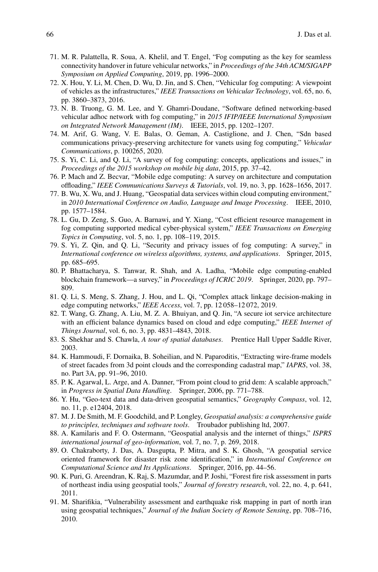- <span id="page-19-0"></span>71. M. R. Palattella, R. Soua, A. Khelil, and T. Engel, "Fog computing as the key for seamless connectivity handover in future vehicular networks," in *Proceedings of the 34th ACM/SIGAPP Symposium on Applied Computing*, 2019, pp. 1996–2000.
- <span id="page-19-1"></span>72. X. Hou, Y. Li, M. Chen, D. Wu, D. Jin, and S. Chen, "Vehicular fog computing: A viewpoint of vehicles as the infrastructures," *IEEE Transactions on Vehicular Technology*, vol. 65, no. 6, pp. 3860–3873, 2016.
- <span id="page-19-2"></span>73. N. B. Truong, G. M. Lee, and Y. Ghamri-Doudane, "Software defined networking-based vehicular adhoc network with fog computing," in *2015 IFIP/IEEE International Symposium on Integrated Network Management (IM)*. IEEE, 2015, pp. 1202–1207.
- <span id="page-19-3"></span>74. M. Arif, G. Wang, V. E. Balas, O. Geman, A. Castiglione, and J. Chen, "Sdn based communications privacy-preserving architecture for vanets using fog computing," *Vehicular Communications*, p. 100265, 2020.
- <span id="page-19-4"></span>75. S. Yi, C. Li, and Q. Li, "A survey of fog computing: concepts, applications and issues," in *Proceedings of the 2015 workshop on mobile big data*, 2015, pp. 37–42.
- <span id="page-19-5"></span>76. P. Mach and Z. Becvar, "Mobile edge computing: A survey on architecture and computation offloading," *IEEE Communications Surveys & Tutorials*, vol. 19, no. 3, pp. 1628–1656, 2017.
- <span id="page-19-6"></span>77. B. Wu, X. Wu, and J. Huang, "Geospatial data services within cloud computing environment," in *2010 International Conference on Audio, Language and Image Processing*. IEEE, 2010, pp. 1577–1584.
- <span id="page-19-7"></span>78. L. Gu, D. Zeng, S. Guo, A. Barnawi, and Y. Xiang, "Cost efficient resource management in fog computing supported medical cyber-physical system," *IEEE Transactions on Emerging Topics in Computing*, vol. 5, no. 1, pp. 108–119, 2015.
- <span id="page-19-8"></span>79. S. Yi, Z. Qin, and Q. Li, "Security and privacy issues of fog computing: A survey," in *International conference on wireless algorithms, systems, and applications*. Springer, 2015, pp. 685–695.
- <span id="page-19-9"></span>80. P. Bhattacharya, S. Tanwar, R. Shah, and A. Ladha, "Mobile edge computing-enabled blockchain framework—a survey," in *Proceedings of ICRIC 2019*. Springer, 2020, pp. 797– 809.
- <span id="page-19-10"></span>81. Q. Li, S. Meng, S. Zhang, J. Hou, and L. Qi, "Complex attack linkage decision-making in edge computing networks," *IEEE Access*, vol. 7, pp. 12 058–12 072, 2019.
- <span id="page-19-11"></span>82. T. Wang, G. Zhang, A. Liu, M. Z. A. Bhuiyan, and Q. Jin, "A secure iot service architecture with an efficient balance dynamics based on cloud and edge computing," *IEEE Internet of Things Journal*, vol. 6, no. 3, pp. 4831–4843, 2018.
- <span id="page-19-12"></span>83. S. Shekhar and S. Chawla, *A tour of spatial databases*. Prentice Hall Upper Saddle River, 2003.
- <span id="page-19-13"></span>84. K. Hammoudi, F. Dornaika, B. Soheilian, and N. Paparoditis, "Extracting wire-frame models of street facades from 3d point clouds and the corresponding cadastral map," *IAPRS*, vol. 38, no. Part 3A, pp. 91–96, 2010.
- <span id="page-19-14"></span>85. P. K. Agarwal, L. Arge, and A. Danner, "From point cloud to grid dem: A scalable approach," in *Progress in Spatial Data Handling*. Springer, 2006, pp. 771–788.
- <span id="page-19-15"></span>86. Y. Hu, "Geo-text data and data-driven geospatial semantics," *Geography Compass*, vol. 12, no. 11, p. e12404, 2018.
- <span id="page-19-16"></span>87. M. J. De Smith, M. F. Goodchild, and P. Longley, *Geospatial analysis: a comprehensive guide to principles, techniques and software tools*. Troubador publishing ltd, 2007.
- <span id="page-19-17"></span>88. A. Kamilaris and F. O. Ostermann, "Geospatial analysis and the internet of things," *ISPRS international journal of geo-information*, vol. 7, no. 7, p. 269, 2018.
- <span id="page-19-18"></span>89. O. Chakraborty, J. Das, A. Dasgupta, P. Mitra, and S. K. Ghosh, "A geospatial service oriented framework for disaster risk zone identification," in *International Conference on Computational Science and Its Applications*. Springer, 2016, pp. 44–56.
- <span id="page-19-19"></span>90. K. Puri, G. Areendran, K. Raj, S. Mazumdar, and P. Joshi, "Forest fire risk assessment in parts of northeast india using geospatial tools," *Journal of forestry research*, vol. 22, no. 4, p. 641, 2011.
- <span id="page-19-20"></span>91. M. Sharifikia, "Vulnerability assessment and earthquake risk mapping in part of north iran using geospatial techniques," *Journal of the Indian Society of Remote Sensing*, pp. 708–716, 2010.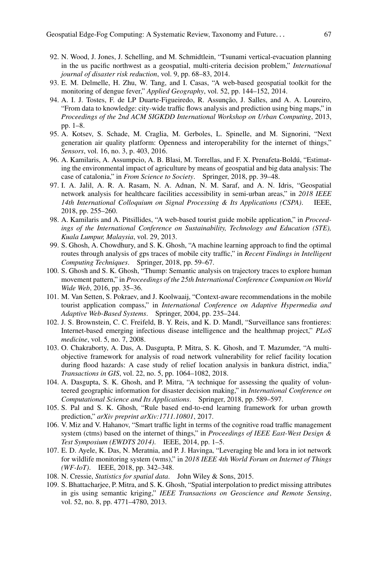- <span id="page-20-0"></span>92. N. Wood, J. Jones, J. Schelling, and M. Schmidtlein, "Tsunami vertical-evacuation planning in the us pacific northwest as a geospatial, multi-criteria decision problem," *International journal of disaster risk reduction*, vol. 9, pp. 68–83, 2014.
- <span id="page-20-1"></span>93. E. M. Delmelle, H. Zhu, W. Tang, and I. Casas, "A web-based geospatial toolkit for the monitoring of dengue fever," *Applied Geography*, vol. 52, pp. 144–152, 2014.
- <span id="page-20-2"></span>94. A. I. J. Tostes, F. de LP Duarte-Figueiredo, R. Assunção, J. Salles, and A. A. Loureiro, "From data to knowledge: city-wide traffic flows analysis and prediction using bing maps," in *Proceedings of the 2nd ACM SIGKDD International Workshop on Urban Computing*, 2013, pp. 1–8.
- <span id="page-20-3"></span>95. A. Kotsev, S. Schade, M. Craglia, M. Gerboles, L. Spinelle, and M. Signorini, "Next generation air quality platform: Openness and interoperability for the internet of things," *Sensors*, vol. 16, no. 3, p. 403, 2016.
- <span id="page-20-4"></span>96. A. Kamilaris, A. Assumpcio, A. B. Blasi, M. Torrellas, and F. X. Prenafeta-Boldú, "Estimating the environmental impact of agriculture by means of geospatial and big data analysis: The case of catalonia," in *From Science to Society*. Springer, 2018, pp. 39–48.
- <span id="page-20-5"></span>97. I. A. Jalil, A. R. A. Rasam, N. A. Adnan, N. M. Saraf, and A. N. Idris, "Geospatial network analysis for healthcare facilities accessibility in semi-urban areas," in *2018 IEEE 14th International Colloquium on Signal Processing & Its Applications (CSPA)*. IEEE, 2018, pp. 255–260.
- <span id="page-20-6"></span>98. A. Kamilaris and A. Pitsillides, "A web-based tourist guide mobile application," in *Proceedings of the International Conference on Sustainability, Technology and Education (STE), Kuala Lumpur, Malaysia*, vol. 29, 2013.
- <span id="page-20-7"></span>99. S. Ghosh, A. Chowdhury, and S. K. Ghosh, "A machine learning approach to find the optimal routes through analysis of gps traces of mobile city traffic," in *Recent Findings in Intelligent Computing Techniques*. Springer, 2018, pp. 59–67.
- <span id="page-20-8"></span>100. S. Ghosh and S. K. Ghosh, "Thump: Semantic analysis on trajectory traces to explore human movement pattern," in *Proceedings of the 25th International Conference Companion on World Wide Web*, 2016, pp. 35–36.
- <span id="page-20-9"></span>101. M. Van Setten, S. Pokraev, and J. Koolwaaij, "Context-aware recommendations in the mobile tourist application compass," in *International Conference on Adaptive Hypermedia and Adaptive Web-Based Systems*. Springer, 2004, pp. 235–244.
- <span id="page-20-10"></span>102. J. S. Brownstein, C. C. Freifeld, B. Y. Reis, and K. D. Mandl, "Surveillance sans frontieres: Internet-based emerging infectious disease intelligence and the healthmap project," *PLoS medicine*, vol. 5, no. 7, 2008.
- <span id="page-20-11"></span>103. O. Chakraborty, A. Das, A. Dasgupta, P. Mitra, S. K. Ghosh, and T. Mazumder, "A multiobjective framework for analysis of road network vulnerability for relief facility location during flood hazards: A case study of relief location analysis in bankura district, india," *Transactions in GIS*, vol. 22, no. 5, pp. 1064–1082, 2018.
- <span id="page-20-12"></span>104. A. Dasgupta, S. K. Ghosh, and P. Mitra, "A technique for assessing the quality of volunteered geographic information for disaster decision making," in *International Conference on Computational Science and Its Applications*. Springer, 2018, pp. 589–597.
- <span id="page-20-13"></span>105. S. Pal and S. K. Ghosh, "Rule based end-to-end learning framework for urban growth prediction," *arXiv preprint arXiv:1711.10801*, 2017.
- <span id="page-20-14"></span>106. V. Miz and V. Hahanov, "Smart traffic light in terms of the cognitive road traffic management system (ctms) based on the internet of things," in *Proceedings of IEEE East-West Design & Test Symposium (EWDTS 2014)*. IEEE, 2014, pp. 1–5.
- <span id="page-20-15"></span>107. E. D. Ayele, K. Das, N. Meratnia, and P. J. Havinga, "Leveraging ble and lora in iot network for wildlife monitoring system (wms)," in *2018 IEEE 4th World Forum on Internet of Things (WF-IoT)*. IEEE, 2018, pp. 342–348.
- <span id="page-20-16"></span>108. N. Cressie, *Statistics for spatial data*. John Wiley & Sons, 2015.
- <span id="page-20-17"></span>109. S. Bhattacharjee, P. Mitra, and S. K. Ghosh, "Spatial interpolation to predict missing attributes in gis using semantic kriging," *IEEE Transactions on Geoscience and Remote Sensing*, vol. 52, no. 8, pp. 4771–4780, 2013.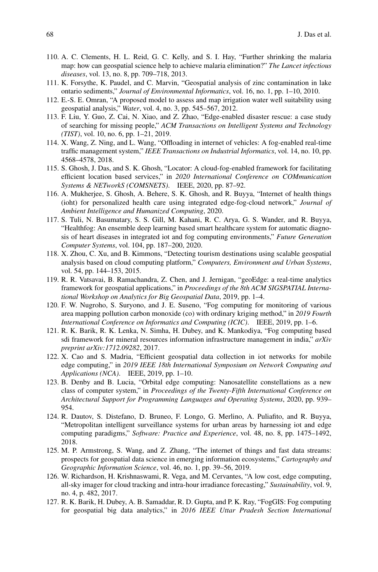- <span id="page-21-0"></span>110. A. C. Clements, H. L. Reid, G. C. Kelly, and S. I. Hay, "Further shrinking the malaria map: how can geospatial science help to achieve malaria elimination?" *The Lancet infectious diseases*, vol. 13, no. 8, pp. 709–718, 2013.
- <span id="page-21-1"></span>111. K. Forsythe, K. Paudel, and C. Marvin, "Geospatial analysis of zinc contamination in lake ontario sediments," *Journal of Environmental Informatics*, vol. 16, no. 1, pp. 1–10, 2010.
- <span id="page-21-2"></span>112. E.-S. E. Omran, "A proposed model to assess and map irrigation water well suitability using geospatial analysis," *Water*, vol. 4, no. 3, pp. 545–567, 2012.
- <span id="page-21-3"></span>113. F. Liu, Y. Guo, Z. Cai, N. Xiao, and Z. Zhao, "Edge-enabled disaster rescue: a case study of searching for missing people," *ACM Transactions on Intelligent Systems and Technology (TIST)*, vol. 10, no. 6, pp. 1–21, 2019.
- <span id="page-21-4"></span>114. X. Wang, Z. Ning, and L. Wang, "Offloading in internet of vehicles: A fog-enabled real-time traffic management system," *IEEE Transactions on Industrial Informatics*, vol. 14, no. 10, pp. 4568–4578, 2018.
- <span id="page-21-5"></span>115. S. Ghosh, J. Das, and S. K. Ghosh, "Locator: A cloud-fog-enabled framework for facilitating efficient location based services," in *2020 International Conference on COMmunication Systems & NETworkS (COMSNETS)*. IEEE, 2020, pp. 87–92.
- <span id="page-21-6"></span>116. A. Mukherjee, S. Ghosh, A. Behere, S. K. Ghosh, and R. Buyya, "Internet of health things (ioht) for personalized health care using integrated edge-fog-cloud network," *Journal of Ambient Intelligence and Humanized Computing*, 2020.
- <span id="page-21-7"></span>117. S. Tuli, N. Basumatary, S. S. Gill, M. Kahani, R. C. Arya, G. S. Wander, and R. Buyya, "Healthfog: An ensemble deep learning based smart healthcare system for automatic diagnosis of heart diseases in integrated iot and fog computing environments," *Future Generation Computer Systems*, vol. 104, pp. 187–200, 2020.
- <span id="page-21-8"></span>118. X. Zhou, C. Xu, and B. Kimmons, "Detecting tourism destinations using scalable geospatial analysis based on cloud computing platform," *Computers, Environment and Urban Systems*, vol. 54, pp. 144–153, 2015.
- <span id="page-21-9"></span>119. R. R. Vatsavai, B. Ramachandra, Z. Chen, and J. Jernigan, "geoEdge: a real-time analytics framework for geospatial applications," in *Proceedings of the 8th ACM SIGSPATIAL International Workshop on Analytics for Big Geospatial Data*, 2019, pp. 1–4.
- <span id="page-21-10"></span>120. F. W. Nugroho, S. Suryono, and J. E. Suseno, "Fog computing for monitoring of various area mapping pollution carbon monoxide (co) with ordinary kriging method," in *2019 Fourth International Conference on Informatics and Computing (ICIC)*. IEEE, 2019, pp. 1–6.
- <span id="page-21-11"></span>121. R. K. Barik, R. K. Lenka, N. Simha, H. Dubey, and K. Mankodiya, "Fog computing based sdi framework for mineral resources information infrastructure management in india," *arXiv preprint arXiv:1712.09282*, 2017.
- <span id="page-21-12"></span>122. X. Cao and S. Madria, "Efficient geospatial data collection in iot networks for mobile edge computing," in *2019 IEEE 18th International Symposium on Network Computing and Applications (NCA)*. IEEE, 2019, pp. 1–10.
- <span id="page-21-13"></span>123. B. Denby and B. Lucia, "Orbital edge computing: Nanosatellite constellations as a new class of computer system," in *Proceedings of the Twenty-Fifth International Conference on Architectural Support for Programming Languages and Operating Systems*, 2020, pp. 939– 954.
- <span id="page-21-14"></span>124. R. Dautov, S. Distefano, D. Bruneo, F. Longo, G. Merlino, A. Puliafito, and R. Buyya, "Metropolitan intelligent surveillance systems for urban areas by harnessing iot and edge computing paradigms," *Software: Practice and Experience*, vol. 48, no. 8, pp. 1475–1492, 2018.
- <span id="page-21-15"></span>125. M. P. Armstrong, S. Wang, and Z. Zhang, "The internet of things and fast data streams: prospects for geospatial data science in emerging information ecosystems," *Cartography and Geographic Information Science*, vol. 46, no. 1, pp. 39–56, 2019.
- <span id="page-21-16"></span>126. W. Richardson, H. Krishnaswami, R. Vega, and M. Cervantes, "A low cost, edge computing, all-sky imager for cloud tracking and intra-hour irradiance forecasting," *Sustainability*, vol. 9, no. 4, p. 482, 2017.
- <span id="page-21-17"></span>127. R. K. Barik, H. Dubey, A. B. Samaddar, R. D. Gupta, and P. K. Ray, "FogGIS: Fog computing for geospatial big data analytics," in *2016 IEEE Uttar Pradesh Section International*